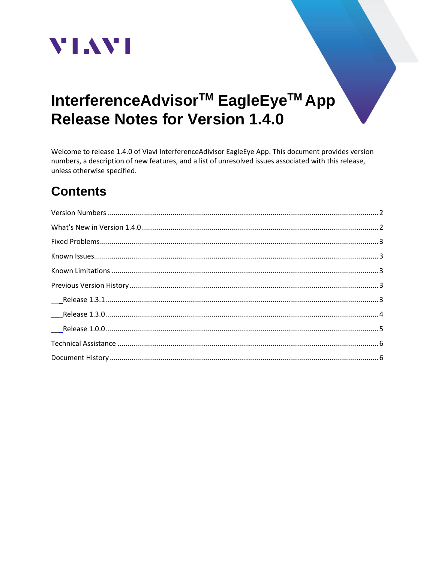

# InterferenceAdvisor<sup>™</sup> EagleEye<sup>™</sup> App **Release Notes for Version 1.4.0**

Welcome to release 1.4.0 of Viavi InterferenceAdivisor EagleEye App. This document provides version numbers, a description of new features, and a list of unresolved issues associated with this release, unless otherwise specified.

## **Contents**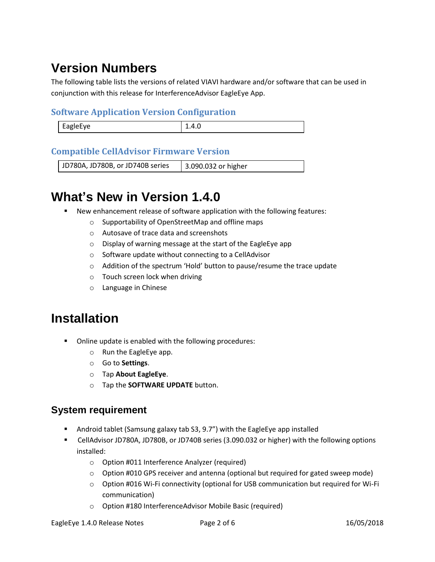## <span id="page-1-0"></span>**Version Numbers**

The following table lists the versions of related VIAVI hardware and/or software that can be used in conjunction with this release for InterferenceAdvisor EagleEye App.

#### **Software Application Version Configuration**

| <b>FagleFve</b><br>∼<br>. | ---<br>----- |
|---------------------------|--------------|
|                           |              |

#### **Compatible CellAdvisor Firmware Version**

<span id="page-1-1"></span>JD780A, JD780B, or JD740B series | 3.090.032 or higher

## **What's New in Version 1.4.0**

- New enhancement release of software application with the following features:
	- o Supportability of OpenStreetMap and offline maps
	- o Autosave of trace data and screenshots
	- o Display of warning message at the start of the EagleEye app
	- o Software update without connecting to a CellAdvisor
	- o Addition of the spectrum 'Hold' button to pause/resume the trace update
	- o Touch screen lock when driving
	- o Language in Chinese

## **Installation**

- Online update is enabled with the following procedures:
	- o Run the EagleEye app.
	- o Go to **Settings**.
	- o Tap **About EagleEye**.
	- o Tap the **SOFTWARE UPDATE** button.

#### **System requirement**

- Android tablet (Samsung galaxy tab S3, 9.7") with the EagleEye app installed
- CellAdvisor JD780A, JD780B, or JD740B series (3.090.032 or higher) with the following options installed:
	- o Option #011 Interference Analyzer (required)
	- $\circ$  Option #010 GPS receiver and antenna (optional but required for gated sweep mode)
	- o Option #016 Wi-Fi connectivity (optional for USB communication but required for Wi-Fi communication)
	- o Option #180 InterferenceAdvisor Mobile Basic (required)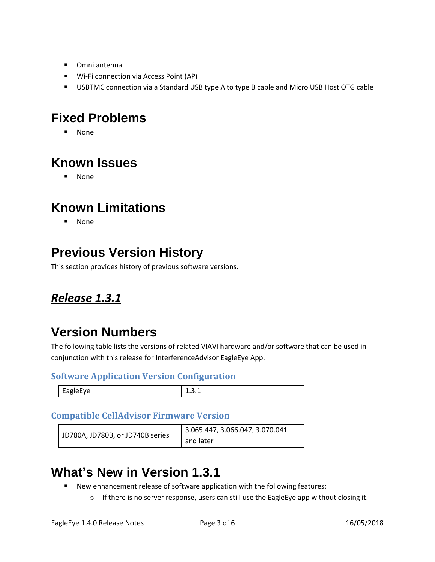- Omni antenna
- Wi-Fi connection via Access Point (AP)
- USBTMC connection via a Standard USB type A to type B cable and Micro USB Host OTG cable

### <span id="page-2-0"></span>**Fixed Problems**

▪ None

## <span id="page-2-1"></span>**Known Issues**

▪ None

## <span id="page-2-2"></span>**Known Limitations**

▪ None

## <span id="page-2-3"></span>**Previous Version History**

This section provides history of previous software versions.

### <span id="page-2-4"></span>*Release 1.3.1*

## **Version Numbers**

The following table lists the versions of related VIAVI hardware and/or software that can be used in conjunction with this release for InterferenceAdvisor EagleEye App.

#### **Software Application Version Configuration**

| $-1$ | ---- |
|------|------|
|      |      |

#### **Compatible CellAdvisor Firmware Version**

| JD780A, JD780B, or JD740B series | 3.065.447, 3.066.047, 3.070.041 |
|----------------------------------|---------------------------------|
|                                  | and later                       |

## **What's New in Version 1.3.1**

- New enhancement release of software application with the following features:
	- $\circ$  If there is no server response, users can still use the EagleEye app without closing it.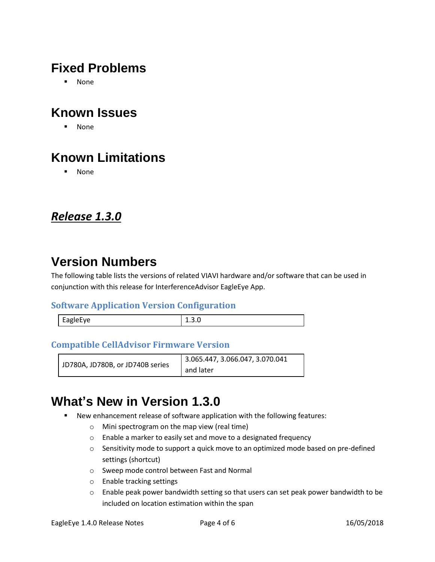## **Fixed Problems**

▪ None

## **Known Issues**

▪ None

## **Known Limitations**

▪ None

### <span id="page-3-0"></span>*Release 1.3.0*

## **Version Numbers**

The following table lists the versions of related VIAVI hardware and/or software that can be used in conjunction with this release for InterferenceAdvisor EagleEye App.

#### **Software Application Version Configuration**

| EagleEye |  |
|----------|--|
|          |  |

#### **Compatible CellAdvisor Firmware Version**

| JD780A, JD780B, or JD740B series | 3.065.447, 3.066.047, 3.070.041 |
|----------------------------------|---------------------------------|
|                                  | and later                       |

## **What's New in Version 1.3.0**

- New enhancement release of software application with the following features:
	- o Mini spectrogram on the map view (real time)
	- o Enable a marker to easily set and move to a designated frequency
	- o Sensitivity mode to support a quick move to an optimized mode based on pre-defined settings (shortcut)
	- o Sweep mode control between Fast and Normal
	- o Enable tracking settings
	- $\circ$  Enable peak power bandwidth setting so that users can set peak power bandwidth to be included on location estimation within the span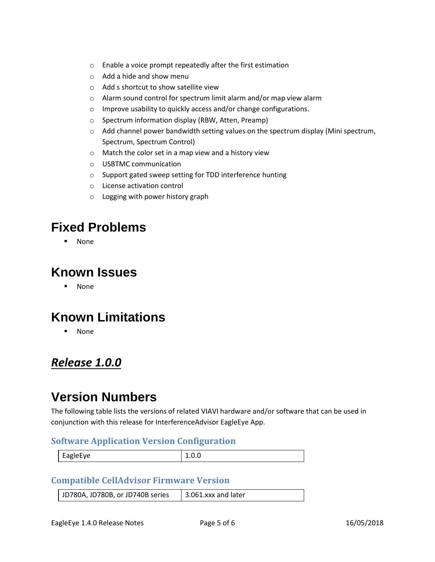- o Enable a voice prompt repeatedly after the first estimation
- o Add a hide and show menu
- o Add s shortcut to show satellite view
- o Alarm sound control for spectrum limit alarm and/or map view alarm
- o Improve usability to quickly access and/or change configurations.
- o Spectrum information display (RBW, Atten, Preamp)
- $\circ$  Add channel power bandwidth setting values on the spectrum display (Mini spectrum, Spectrum, Spectrum Control)
- o Match the color set in a map view and a history view
- o USBTMC communication
- o Support gated sweep setting for TDD interference hunting
- o License activation control
- o Logging with power history graph

### **Fixed Problems**

**None** 

#### **Known Issues**

▪ None

### **Known Limitations**

▪ None

### <span id="page-4-0"></span>*Release 1.0.0*

### **Version Numbers**

The following table lists the versions of related VIAVI hardware and/or software that can be used in conjunction with this release for InterferenceAdvisor EagleEye App.

#### **Software Application Version Configuration**

| $\sim$ $\sim$<br><b>EagleFve</b><br>$\cdot$<br>$\overline{\phantom{0}}$<br>$-90 - 1$ |  |
|--------------------------------------------------------------------------------------|--|
|                                                                                      |  |

#### **Compatible CellAdvisor Firmware Version**

| JD780A, JD780B, or JD740B series | $\vert$ 3.061.xxx and later |
|----------------------------------|-----------------------------|
|----------------------------------|-----------------------------|